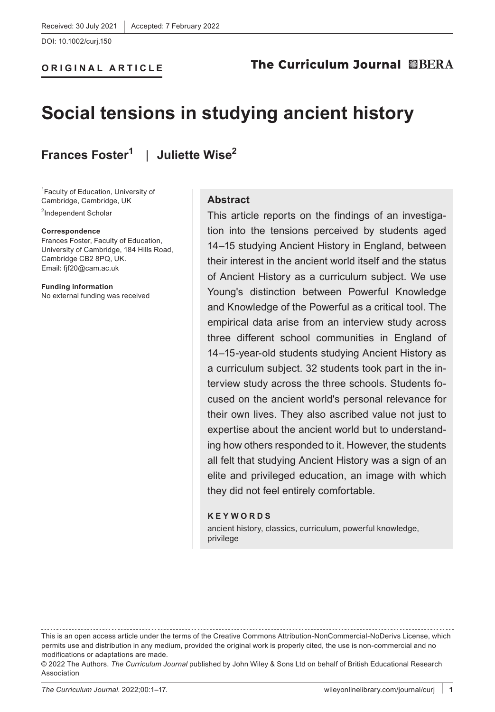DOI: 10.1002/curj.150

# **Social tensions in studying ancient history**

**Frances Foster<sup>1</sup>** | **Juliette Wise2**

1 Faculty of Education, University of Cambridge, Cambridge, UK <sup>2</sup>Independent Scholar

**ORIGINAL ARTICLE**

#### **Correspondence**

Frances Foster, Faculty of Education, University of Cambridge, 184 Hills Road, Cambridge CB2 8PQ, UK. Email: [fjf20@cam.ac.uk](mailto:fjf20@cam.ac.uk)

**Funding information** No external funding was received

#### **Abstract**

This article reports on the findings of an investigation into the tensions perceived by students aged 14–15 studying Ancient History in England, between their interest in the ancient world itself and the status of Ancient History as a curriculum subject. We use Young's distinction between Powerful Knowledge and Knowledge of the Powerful as a critical tool. The empirical data arise from an interview study across three different school communities in England of 14–15-year-old students studying Ancient History as a curriculum subject. 32 students took part in the interview study across the three schools. Students focused on the ancient world's personal relevance for their own lives. They also ascribed value not just to expertise about the ancient world but to understanding how others responded to it. However, the students all felt that studying Ancient History was a sign of an elite and privileged education, an image with which they did not feel entirely comfortable.

#### **KEYWORDS**

ancient history, classics, curriculum, powerful knowledge, privilege

This is an open access article under the terms of the [Creative Commons Attribution-NonCommercial-NoDerivs](http://creativecommons.org/licenses/by-nc-nd/4.0/) License, which permits use and distribution in any medium, provided the original work is properly cited, the use is non-commercial and no modifications or adaptations are made.

<sup>© 2022</sup> The Authors. *The Curriculum Journal* published by John Wiley & Sons Ltd on behalf of British Educational Research Association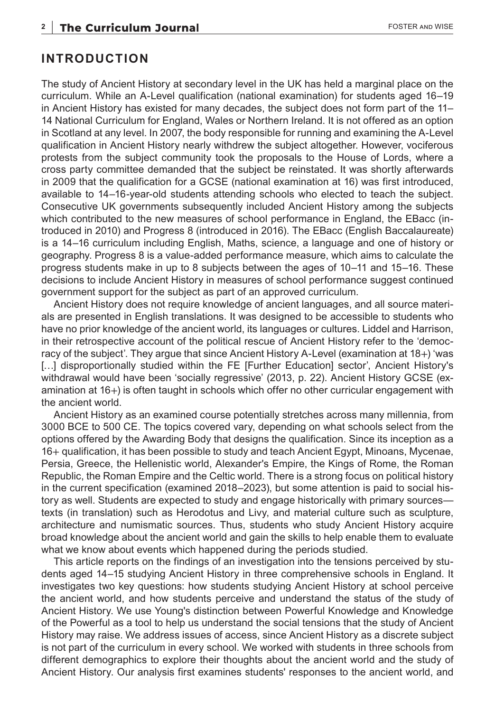#### **INTRODUCTION**

The study of Ancient History at secondary level in the UK has held a marginal place on the curriculum. While an A-Level qualification (national examination) for students aged 16–19 in Ancient History has existed for many decades, the subject does not form part of the 11– 14 National Curriculum for England, Wales or Northern Ireland. It is not offered as an option in Scotland at any level. In 2007, the body responsible for running and examining the A-Level qualification in Ancient History nearly withdrew the subject altogether. However, vociferous protests from the subject community took the proposals to the House of Lords, where a cross party committee demanded that the subject be reinstated. It was shortly afterwards in 2009 that the qualification for a GCSE (national examination at 16) was first introduced, available to 14–16-year-old students attending schools who elected to teach the subject. Consecutive UK governments subsequently included Ancient History among the subjects which contributed to the new measures of school performance in England, the EBacc (introduced in 2010) and Progress 8 (introduced in 2016). The EBacc (English Baccalaureate) is a 14–16 curriculum including English, Maths, science, a language and one of history or geography. Progress 8 is a value-added performance measure, which aims to calculate the progress students make in up to 8 subjects between the ages of 10–11 and 15–16. These decisions to include Ancient History in measures of school performance suggest continued government support for the subject as part of an approved curriculum.

Ancient History does not require knowledge of ancient languages, and all source materials are presented in English translations. It was designed to be accessible to students who have no prior knowledge of the ancient world, its languages or cultures. Liddel and Harrison, in their retrospective account of the political rescue of Ancient History refer to the 'democracy of the subject'. They argue that since Ancient History A-Level (examination at 18+) 'was [...] disproportionally studied within the FE [Further Education] sector', Ancient History's withdrawal would have been 'socially regressive' (2013, p. 22). Ancient History GCSE (examination at 16+) is often taught in schools which offer no other curricular engagement with the ancient world.

Ancient History as an examined course potentially stretches across many millennia, from 3000 BCE to 500 CE. The topics covered vary, depending on what schools select from the options offered by the Awarding Body that designs the qualification. Since its inception as a 16+ qualification, it has been possible to study and teach Ancient Egypt, Minoans, Mycenae, Persia, Greece, the Hellenistic world, Alexander's Empire, the Kings of Rome, the Roman Republic, the Roman Empire and the Celtic world. There is a strong focus on political history in the current specification (examined 2018–2023), but some attention is paid to social history as well. Students are expected to study and engage historically with primary sources texts (in translation) such as Herodotus and Livy, and material culture such as sculpture, architecture and numismatic sources. Thus, students who study Ancient History acquire broad knowledge about the ancient world and gain the skills to help enable them to evaluate what we know about events which happened during the periods studied.

This article reports on the findings of an investigation into the tensions perceived by students aged 14–15 studying Ancient History in three comprehensive schools in England. It investigates two key questions: how students studying Ancient History at school perceive the ancient world, and how students perceive and understand the status of the study of Ancient History. We use Young's distinction between Powerful Knowledge and Knowledge of the Powerful as a tool to help us understand the social tensions that the study of Ancient History may raise. We address issues of access, since Ancient History as a discrete subject is not part of the curriculum in every school. We worked with students in three schools from different demographics to explore their thoughts about the ancient world and the study of Ancient History. Our analysis first examines students' responses to the ancient world, and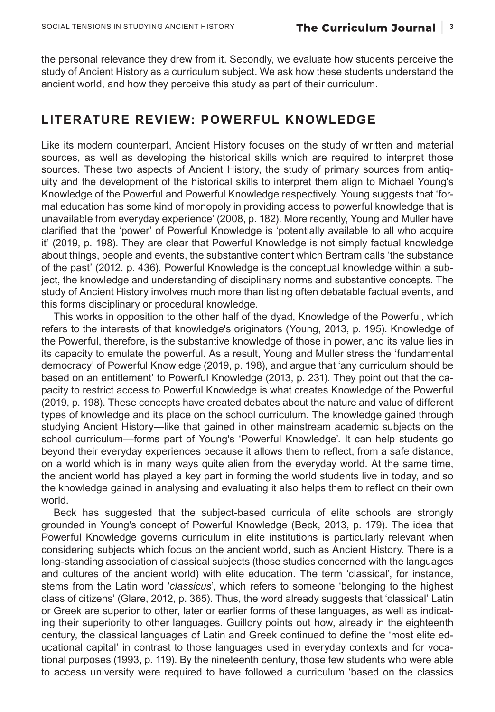the personal relevance they drew from it. Secondly, we evaluate how students perceive the study of Ancient History as a curriculum subject. We ask how these students understand the ancient world, and how they perceive this study as part of their curriculum.

### **LITERATURE REVIEW: POWERFUL KNOWLEDGE**

Like its modern counterpart, Ancient History focuses on the study of written and material sources, as well as developing the historical skills which are required to interpret those sources. These two aspects of Ancient History, the study of primary sources from antiquity and the development of the historical skills to interpret them align to Michael Young's Knowledge of the Powerful and Powerful Knowledge respectively. Young suggests that 'formal education has some kind of monopoly in providing access to powerful knowledge that is unavailable from everyday experience' (2008, p. 182). More recently, Young and Muller have clarified that the 'power' of Powerful Knowledge is 'potentially available to all who acquire it' (2019, p. 198). They are clear that Powerful Knowledge is not simply factual knowledge about things, people and events, the substantive content which Bertram calls 'the substance of the past' (2012, p. 436). Powerful Knowledge is the conceptual knowledge within a subject, the knowledge and understanding of disciplinary norms and substantive concepts. The study of Ancient History involves much more than listing often debatable factual events, and this forms disciplinary or procedural knowledge.

This works in opposition to the other half of the dyad, Knowledge of the Powerful, which refers to the interests of that knowledge's originators (Young, 2013, p. 195). Knowledge of the Powerful, therefore, is the substantive knowledge of those in power, and its value lies in its capacity to emulate the powerful. As a result, Young and Muller stress the 'fundamental democracy' of Powerful Knowledge (2019, p. 198), and argue that 'any curriculum should be based on an entitlement' to Powerful Knowledge (2013, p. 231). They point out that the capacity to restrict access to Powerful Knowledge is what creates Knowledge of the Powerful (2019, p. 198). These concepts have created debates about the nature and value of different types of knowledge and its place on the school curriculum. The knowledge gained through studying Ancient History—like that gained in other mainstream academic subjects on the school curriculum—forms part of Young's 'Powerful Knowledge'. It can help students go beyond their everyday experiences because it allows them to reflect, from a safe distance, on a world which is in many ways quite alien from the everyday world. At the same time, the ancient world has played a key part in forming the world students live in today, and so the knowledge gained in analysing and evaluating it also helps them to reflect on their own world.

Beck has suggested that the subject-based curricula of elite schools are strongly grounded in Young's concept of Powerful Knowledge (Beck, 2013, p. 179). The idea that Powerful Knowledge governs curriculum in elite institutions is particularly relevant when considering subjects which focus on the ancient world, such as Ancient History. There is a long-standing association of classical subjects (those studies concerned with the languages and cultures of the ancient world) with elite education. The term 'classical', for instance, stems from the Latin word '*classicus*', which refers to someone 'belonging to the highest class of citizens' (Glare, 2012, p. 365). Thus, the word already suggests that 'classical' Latin or Greek are superior to other, later or earlier forms of these languages, as well as indicating their superiority to other languages. Guillory points out how, already in the eighteenth century, the classical languages of Latin and Greek continued to define the 'most elite educational capital' in contrast to those languages used in everyday contexts and for vocational purposes (1993, p. 119). By the nineteenth century, those few students who were able to access university were required to have followed a curriculum 'based on the classics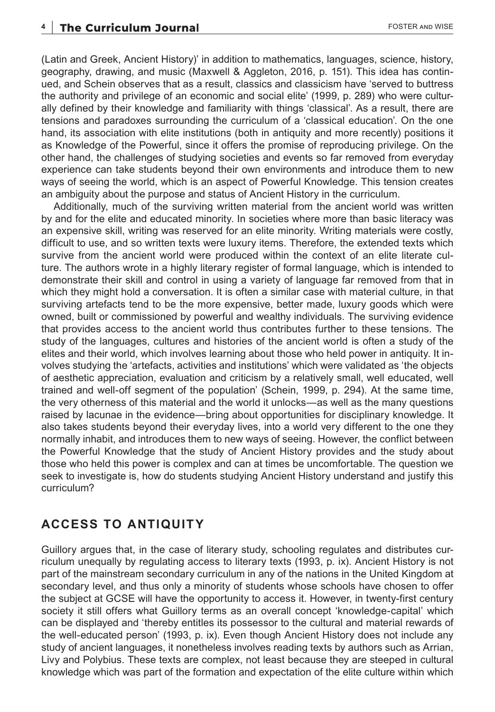(Latin and Greek, Ancient History)' in addition to mathematics, languages, science, history, geography, drawing, and music (Maxwell & Aggleton, 2016, p. 151). This idea has continued, and Schein observes that as a result, classics and classicism have 'served to buttress the authority and privilege of an economic and social elite' (1999, p. 289) who were culturally defined by their knowledge and familiarity with things 'classical'. As a result, there are tensions and paradoxes surrounding the curriculum of a 'classical education'. On the one hand, its association with elite institutions (both in antiquity and more recently) positions it as Knowledge of the Powerful, since it offers the promise of reproducing privilege. On the other hand, the challenges of studying societies and events so far removed from everyday experience can take students beyond their own environments and introduce them to new ways of seeing the world, which is an aspect of Powerful Knowledge. This tension creates an ambiguity about the purpose and status of Ancient History in the curriculum.

Additionally, much of the surviving written material from the ancient world was written by and for the elite and educated minority. In societies where more than basic literacy was an expensive skill, writing was reserved for an elite minority. Writing materials were costly, difficult to use, and so written texts were luxury items. Therefore, the extended texts which survive from the ancient world were produced within the context of an elite literate culture. The authors wrote in a highly literary register of formal language, which is intended to demonstrate their skill and control in using a variety of language far removed from that in which they might hold a conversation. It is often a similar case with material culture, in that surviving artefacts tend to be the more expensive, better made, luxury goods which were owned, built or commissioned by powerful and wealthy individuals. The surviving evidence that provides access to the ancient world thus contributes further to these tensions. The study of the languages, cultures and histories of the ancient world is often a study of the elites and their world, which involves learning about those who held power in antiquity. It involves studying the 'artefacts, activities and institutions' which were validated as 'the objects of aesthetic appreciation, evaluation and criticism by a relatively small, well educated, well trained and well-off segment of the population' (Schein, 1999, p. 294). At the same time, the very otherness of this material and the world it unlocks—as well as the many questions raised by lacunae in the evidence—bring about opportunities for disciplinary knowledge. It also takes students beyond their everyday lives, into a world very different to the one they normally inhabit, and introduces them to new ways of seeing. However, the conflict between the Powerful Knowledge that the study of Ancient History provides and the study about those who held this power is complex and can at times be uncomfortable. The question we seek to investigate is, how do students studying Ancient History understand and justify this curriculum?

### **ACCESS TO ANTIQUITY**

Guillory argues that, in the case of literary study, schooling regulates and distributes curriculum unequally by regulating access to literary texts (1993, p. ix). Ancient History is not part of the mainstream secondary curriculum in any of the nations in the United Kingdom at secondary level, and thus only a minority of students whose schools have chosen to offer the subject at GCSE will have the opportunity to access it. However, in twenty-first century society it still offers what Guillory terms as an overall concept 'knowledge-capital' which can be displayed and 'thereby entitles its possessor to the cultural and material rewards of the well-educated person' (1993, p. ix). Even though Ancient History does not include any study of ancient languages, it nonetheless involves reading texts by authors such as Arrian, Livy and Polybius. These texts are complex, not least because they are steeped in cultural knowledge which was part of the formation and expectation of the elite culture within which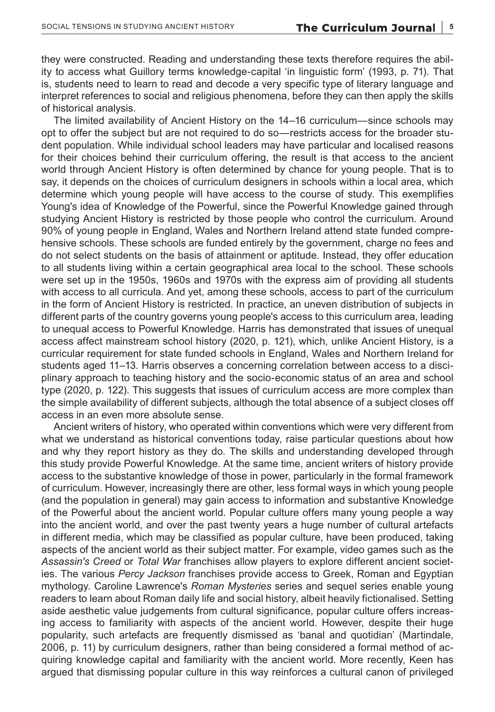they were constructed. Reading and understanding these texts therefore requires the ability to access what Guillory terms knowledge-capital 'in linguistic form' (1993, p. 71). That is, students need to learn to read and decode a very specific type of literary language and interpret references to social and religious phenomena, before they can then apply the skills of historical analysis.

The limited availability of Ancient History on the 14–16 curriculum—since schools may opt to offer the subject but are not required to do so—restricts access for the broader student population. While individual school leaders may have particular and localised reasons for their choices behind their curriculum offering, the result is that access to the ancient world through Ancient History is often determined by chance for young people. That is to say, it depends on the choices of curriculum designers in schools within a local area, which determine which young people will have access to the course of study. This exemplifies Young's idea of Knowledge of the Powerful, since the Powerful Knowledge gained through studying Ancient History is restricted by those people who control the curriculum. Around 90% of young people in England, Wales and Northern Ireland attend state funded comprehensive schools. These schools are funded entirely by the government, charge no fees and do not select students on the basis of attainment or aptitude. Instead, they offer education to all students living within a certain geographical area local to the school. These schools were set up in the 1950s, 1960s and 1970s with the express aim of providing all students with access to all curricula. And yet, among these schools, access to part of the curriculum in the form of Ancient History is restricted. In practice, an uneven distribution of subjects in different parts of the country governs young people's access to this curriculum area, leading to unequal access to Powerful Knowledge. Harris has demonstrated that issues of unequal access affect mainstream school history (2020, p. 121), which, unlike Ancient History, is a curricular requirement for state funded schools in England, Wales and Northern Ireland for students aged 11–13. Harris observes a concerning correlation between access to a disciplinary approach to teaching history and the socio-economic status of an area and school type (2020, p. 122). This suggests that issues of curriculum access are more complex than the simple availability of different subjects, although the total absence of a subject closes off access in an even more absolute sense.

Ancient writers of history, who operated within conventions which were very different from what we understand as historical conventions today, raise particular questions about how and why they report history as they do. The skills and understanding developed through this study provide Powerful Knowledge. At the same time, ancient writers of history provide access to the substantive knowledge of those in power, particularly in the formal framework of curriculum. However, increasingly there are other, less formal ways in which young people (and the population in general) may gain access to information and substantive Knowledge of the Powerful about the ancient world. Popular culture offers many young people a way into the ancient world, and over the past twenty years a huge number of cultural artefacts in different media, which may be classified as popular culture, have been produced, taking aspects of the ancient world as their subject matter. For example, video games such as the *Assassin's Creed* or *Total War* franchises allow players to explore different ancient societies. The various *Percy Jackson* franchises provide access to Greek, Roman and Egyptian mythology. Caroline Lawrence's *Roman Mysteries* series and sequel series enable young readers to learn about Roman daily life and social history, albeit heavily fictionalised. Setting aside aesthetic value judgements from cultural significance, popular culture offers increasing access to familiarity with aspects of the ancient world. However, despite their huge popularity, such artefacts are frequently dismissed as 'banal and quotidian' (Martindale, 2006, p. 11) by curriculum designers, rather than being considered a formal method of acquiring knowledge capital and familiarity with the ancient world. More recently, Keen has argued that dismissing popular culture in this way reinforces a cultural canon of privileged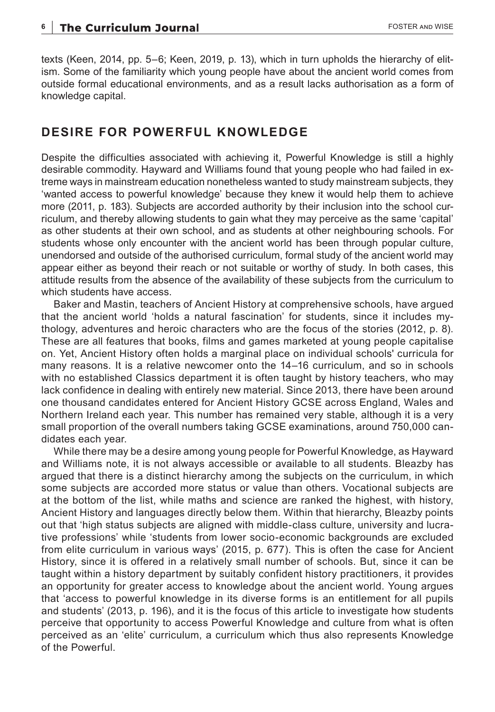texts (Keen, 2014, pp. 5–6; Keen, 2019, p. 13), which in turn upholds the hierarchy of elitism. Some of the familiarity which young people have about the ancient world comes from outside formal educational environments, and as a result lacks authorisation as a form of knowledge capital.

### **DESIRE FOR POWERFUL KNOWLEDGE**

Despite the difficulties associated with achieving it, Powerful Knowledge is still a highly desirable commodity. Hayward and Williams found that young people who had failed in extreme ways in mainstream education nonetheless wanted to study mainstream subjects, they 'wanted access to powerful knowledge' because they knew it would help them to achieve more (2011, p. 183). Subjects are accorded authority by their inclusion into the school curriculum, and thereby allowing students to gain what they may perceive as the same 'capital' as other students at their own school, and as students at other neighbouring schools. For students whose only encounter with the ancient world has been through popular culture, unendorsed and outside of the authorised curriculum, formal study of the ancient world may appear either as beyond their reach or not suitable or worthy of study. In both cases, this attitude results from the absence of the availability of these subjects from the curriculum to which students have access.

Baker and Mastin, teachers of Ancient History at comprehensive schools, have argued that the ancient world 'holds a natural fascination' for students, since it includes mythology, adventures and heroic characters who are the focus of the stories (2012, p. 8). These are all features that books, films and games marketed at young people capitalise on. Yet, Ancient History often holds a marginal place on individual schools' curricula for many reasons. It is a relative newcomer onto the 14–16 curriculum, and so in schools with no established Classics department it is often taught by history teachers, who may lack confidence in dealing with entirely new material. Since 2013, there have been around one thousand candidates entered for Ancient History GCSE across England, Wales and Northern Ireland each year. This number has remained very stable, although it is a very small proportion of the overall numbers taking GCSE examinations, around 750,000 candidates each year.

While there may be a desire among young people for Powerful Knowledge, as Hayward and Williams note, it is not always accessible or available to all students. Bleazby has argued that there is a distinct hierarchy among the subjects on the curriculum, in which some subjects are accorded more status or value than others. Vocational subjects are at the bottom of the list, while maths and science are ranked the highest, with history, Ancient History and languages directly below them. Within that hierarchy, Bleazby points out that 'high status subjects are aligned with middle-class culture, university and lucrative professions' while 'students from lower socio-economic backgrounds are excluded from elite curriculum in various ways' (2015, p. 677). This is often the case for Ancient History, since it is offered in a relatively small number of schools. But, since it can be taught within a history department by suitably confident history practitioners, it provides an opportunity for greater access to knowledge about the ancient world. Young argues that 'access to powerful knowledge in its diverse forms is an entitlement for all pupils and students' (2013, p. 196), and it is the focus of this article to investigate how students perceive that opportunity to access Powerful Knowledge and culture from what is often perceived as an 'elite' curriculum, a curriculum which thus also represents Knowledge of the Powerful.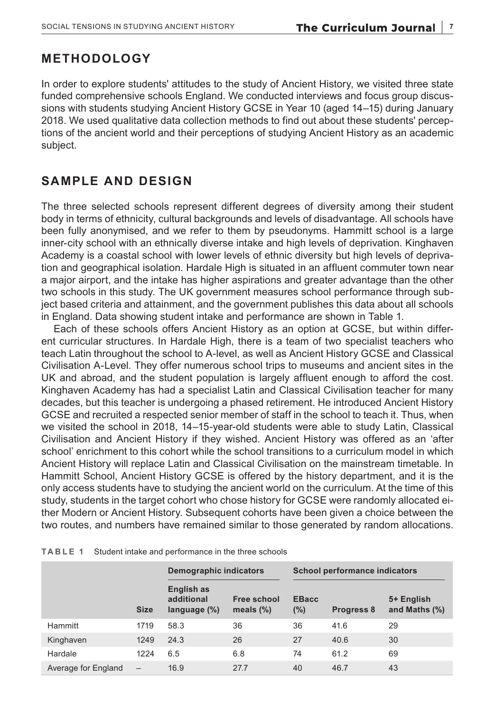# **METHODOLOGY**

In order to explore students' attitudes to the study of Ancient History, we visited three state funded comprehensive schools England. We conducted interviews and focus group discussions with students studying Ancient History GCSE in Year 10 (aged 14–15) during January 2018. We used qualitative data collection methods to find out about these students' perceptions of the ancient world and their perceptions of studying Ancient History as an academic subject.

# **SAMPLE AND DESIGN**

The three selected schools represent different degrees of diversity among their student body in terms of ethnicity, cultural backgrounds and levels of disadvantage. All schools have been fully anonymised, and we refer to them by pseudonyms. Hammitt school is a large inner-city school with an ethnically diverse intake and high levels of deprivation. Kinghaven Academy is a coastal school with lower levels of ethnic diversity but high levels of deprivation and geographical isolation. Hardale High is situated in an affluent commuter town near a major airport, and the intake has higher aspirations and greater advantage than the other two schools in this study. The UK government measures school performance through subject based criteria and attainment, and the government publishes this data about all schools in England. Data showing student intake and performance are shown in Table 1.

Each of these schools offers Ancient History as an option at GCSE, but within different curricular structures. In Hardale High, there is a team of two specialist teachers who teach Latin throughout the school to A-level, as well as Ancient History GCSE and Classical Civilisation A-Level. They offer numerous school trips to museums and ancient sites in the UK and abroad, and the student population is largely affluent enough to afford the cost. Kinghaven Academy has had a specialist Latin and Classical Civilisation teacher for many decades, but this teacher is undergoing a phased retirement. He introduced Ancient History GCSE and recruited a respected senior member of staff in the school to teach it. Thus, when we visited the school in 2018, 14–15-year-old students were able to study Latin, Classical Civilisation and Ancient History if they wished. Ancient History was offered as an 'after school' enrichment to this cohort while the school transitions to a curriculum model in which Ancient History will replace Latin and Classical Civilisation on the mainstream timetable. In Hammitt School, Ancient History GCSE is offered by the history department, and it is the only access students have to studying the ancient world on the curriculum. At the time of this study, students in the target cohort who chose history for GCSE were randomly allocated either Modern or Ancient History. Subsequent cohorts have been given a choice between the two routes, and numbers have remained similar to those generated by random allocations.

|                     |                          | Demographic indicators                      |                             | <b>School performance indicators</b> |                   |                                |
|---------------------|--------------------------|---------------------------------------------|-----------------------------|--------------------------------------|-------------------|--------------------------------|
|                     | <b>Size</b>              | English as<br>additional<br>language $(\%)$ | Free school<br>meals $(\%)$ | <b>EBacc</b><br>$(\%)$               | <b>Progress 8</b> | 5+ English<br>and Maths $(\%)$ |
| Hammitt             | 1719                     | 58.3                                        | 36                          | 36                                   | 41.6              | 29                             |
| Kinghaven           | 1249                     | 24.3                                        | 26                          | 27                                   | 40.6              | 30                             |
| Hardale             | 1224                     | 6.5                                         | 6.8                         | 74                                   | 61.2              | 69                             |
| Average for England | $\overline{\phantom{0}}$ | 16.9                                        | 27.7                        | 40                                   | 46.7              | 43                             |

**TABLE 1** Student intake and performance in the three schools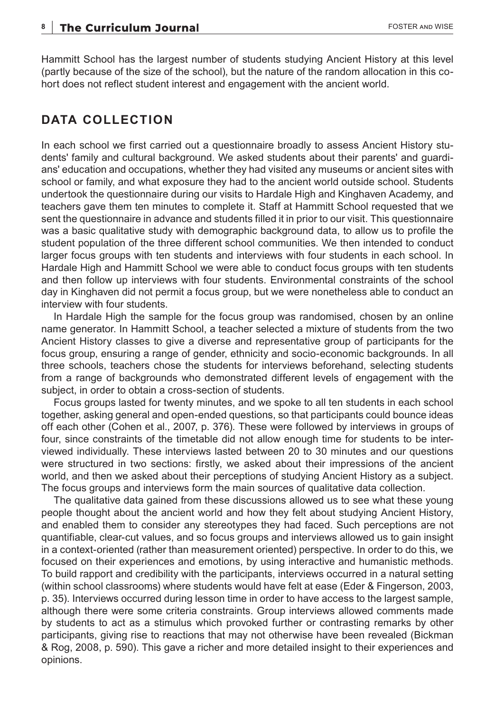Hammitt School has the largest number of students studying Ancient History at this level (partly because of the size of the school), but the nature of the random allocation in this cohort does not reflect student interest and engagement with the ancient world.

### **DATA COLLECTION**

In each school we first carried out a questionnaire broadly to assess Ancient History students' family and cultural background. We asked students about their parents' and guardians' education and occupations, whether they had visited any museums or ancient sites with school or family, and what exposure they had to the ancient world outside school. Students undertook the questionnaire during our visits to Hardale High and Kinghaven Academy, and teachers gave them ten minutes to complete it. Staff at Hammitt School requested that we sent the questionnaire in advance and students filled it in prior to our visit. This questionnaire was a basic qualitative study with demographic background data, to allow us to profile the student population of the three different school communities. We then intended to conduct larger focus groups with ten students and interviews with four students in each school. In Hardale High and Hammitt School we were able to conduct focus groups with ten students and then follow up interviews with four students. Environmental constraints of the school day in Kinghaven did not permit a focus group, but we were nonetheless able to conduct an interview with four students.

In Hardale High the sample for the focus group was randomised, chosen by an online name generator. In Hammitt School, a teacher selected a mixture of students from the two Ancient History classes to give a diverse and representative group of participants for the focus group, ensuring a range of gender, ethnicity and socio-economic backgrounds. In all three schools, teachers chose the students for interviews beforehand, selecting students from a range of backgrounds who demonstrated different levels of engagement with the subject, in order to obtain a cross-section of students.

Focus groups lasted for twenty minutes, and we spoke to all ten students in each school together, asking general and open-ended questions, so that participants could bounce ideas off each other (Cohen et al., 2007, p. 376). These were followed by interviews in groups of four, since constraints of the timetable did not allow enough time for students to be interviewed individually. These interviews lasted between 20 to 30 minutes and our questions were structured in two sections: firstly, we asked about their impressions of the ancient world, and then we asked about their perceptions of studying Ancient History as a subject. The focus groups and interviews form the main sources of qualitative data collection.

The qualitative data gained from these discussions allowed us to see what these young people thought about the ancient world and how they felt about studying Ancient History, and enabled them to consider any stereotypes they had faced. Such perceptions are not quantifiable, clear-cut values, and so focus groups and interviews allowed us to gain insight in a context-oriented (rather than measurement oriented) perspective. In order to do this, we focused on their experiences and emotions, by using interactive and humanistic methods. To build rapport and credibility with the participants, interviews occurred in a natural setting (within school classrooms) where students would have felt at ease (Eder & Fingerson, 2003, p. 35). Interviews occurred during lesson time in order to have access to the largest sample, although there were some criteria constraints. Group interviews allowed comments made by students to act as a stimulus which provoked further or contrasting remarks by other participants, giving rise to reactions that may not otherwise have been revealed (Bickman & Rog, 2008, p. 590). This gave a richer and more detailed insight to their experiences and opinions.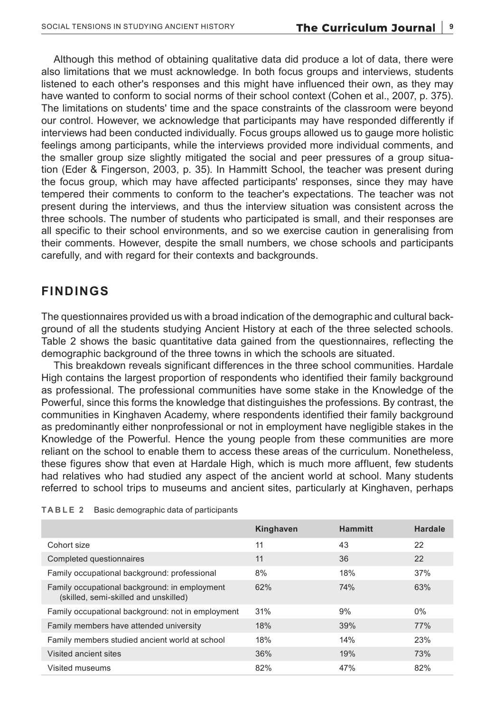Although this method of obtaining qualitative data did produce a lot of data, there were also limitations that we must acknowledge. In both focus groups and interviews, students listened to each other's responses and this might have influenced their own, as they may have wanted to conform to social norms of their school context (Cohen et al., 2007, p. 375). The limitations on students' time and the space constraints of the classroom were beyond our control. However, we acknowledge that participants may have responded differently if interviews had been conducted individually. Focus groups allowed us to gauge more holistic feelings among participants, while the interviews provided more individual comments, and the smaller group size slightly mitigated the social and peer pressures of a group situation (Eder & Fingerson, 2003, p. 35). In Hammitt School, the teacher was present during the focus group, which may have affected participants' responses, since they may have tempered their comments to conform to the teacher's expectations. The teacher was not present during the interviews, and thus the interview situation was consistent across the three schools. The number of students who participated is small, and their responses are all specific to their school environments, and so we exercise caution in generalising from their comments. However, despite the small numbers, we chose schools and participants carefully, and with regard for their contexts and backgrounds.

### **FINDINGS**

The questionnaires provided us with a broad indication of the demographic and cultural background of all the students studying Ancient History at each of the three selected schools. Table 2 shows the basic quantitative data gained from the questionnaires, reflecting the demographic background of the three towns in which the schools are situated.

This breakdown reveals significant differences in the three school communities. Hardale High contains the largest proportion of respondents who identified their family background as professional. The professional communities have some stake in the Knowledge of the Powerful, since this forms the knowledge that distinguishes the professions. By contrast, the communities in Kinghaven Academy, where respondents identified their family background as predominantly either nonprofessional or not in employment have negligible stakes in the Knowledge of the Powerful. Hence the young people from these communities are more reliant on the school to enable them to access these areas of the curriculum. Nonetheless, these figures show that even at Hardale High, which is much more affluent, few students had relatives who had studied any aspect of the ancient world at school. Many students referred to school trips to museums and ancient sites, particularly at Kinghaven, perhaps

|                                                                                        | Kinghaven | <b>Hammitt</b> | <b>Hardale</b> |
|----------------------------------------------------------------------------------------|-----------|----------------|----------------|
| Cohort size                                                                            | 11        | 43             | 22             |
| Completed questionnaires                                                               | 11        | 36             | 22             |
| Family occupational background: professional                                           | 8%        | 18%            | 37%            |
| Family occupational background: in employment<br>(skilled, semi-skilled and unskilled) | 62%       | 74%            | 63%            |
| Family occupational background: not in employment                                      | 31%       | 9%             | $0\%$          |
| Family members have attended university                                                | 18%       | 39%            | 77%            |
| Family members studied ancient world at school                                         | 18%       | 14%            | 23%            |
| Visited ancient sites                                                                  | 36%       | 19%            | 73%            |
| Visited museums                                                                        | 82%       | 47%            | 82%            |

|  | <b>TABLE 2</b> Basic demographic data of participants |  |
|--|-------------------------------------------------------|--|
|--|-------------------------------------------------------|--|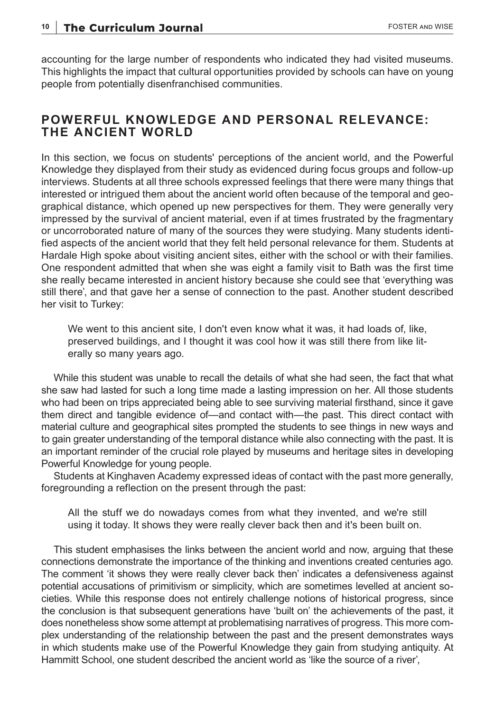accounting for the large number of respondents who indicated they had visited museums. This highlights the impact that cultural opportunities provided by schools can have on young people from potentially disenfranchised communities.

### **POWERFUL KNOWLEDGE AND PERSONAL RELEVANCE: THE ANCIENT WORLD**

In this section, we focus on students' perceptions of the ancient world, and the Powerful Knowledge they displayed from their study as evidenced during focus groups and follow-up interviews. Students at all three schools expressed feelings that there were many things that interested or intrigued them about the ancient world often because of the temporal and geographical distance, which opened up new perspectives for them. They were generally very impressed by the survival of ancient material, even if at times frustrated by the fragmentary or uncorroborated nature of many of the sources they were studying. Many students identified aspects of the ancient world that they felt held personal relevance for them. Students at Hardale High spoke about visiting ancient sites, either with the school or with their families. One respondent admitted that when she was eight a family visit to Bath was the first time she really became interested in ancient history because she could see that 'everything was still there', and that gave her a sense of connection to the past. Another student described her visit to Turkey:

We went to this ancient site, I don't even know what it was, it had loads of, like, preserved buildings, and I thought it was cool how it was still there from like literally so many years ago.

While this student was unable to recall the details of what she had seen, the fact that what she saw had lasted for such a long time made a lasting impression on her. All those students who had been on trips appreciated being able to see surviving material firsthand, since it gave them direct and tangible evidence of—and contact with—the past. This direct contact with material culture and geographical sites prompted the students to see things in new ways and to gain greater understanding of the temporal distance while also connecting with the past. It is an important reminder of the crucial role played by museums and heritage sites in developing Powerful Knowledge for young people.

Students at Kinghaven Academy expressed ideas of contact with the past more generally, foregrounding a reflection on the present through the past:

All the stuff we do nowadays comes from what they invented, and we're still using it today. It shows they were really clever back then and it's been built on.

This student emphasises the links between the ancient world and now, arguing that these connections demonstrate the importance of the thinking and inventions created centuries ago. The comment 'it shows they were really clever back then' indicates a defensiveness against potential accusations of primitivism or simplicity, which are sometimes levelled at ancient societies. While this response does not entirely challenge notions of historical progress, since the conclusion is that subsequent generations have 'built on' the achievements of the past, it does nonetheless show some attempt at problematising narratives of progress. This more complex understanding of the relationship between the past and the present demonstrates ways in which students make use of the Powerful Knowledge they gain from studying antiquity. At Hammitt School, one student described the ancient world as 'like the source of a river',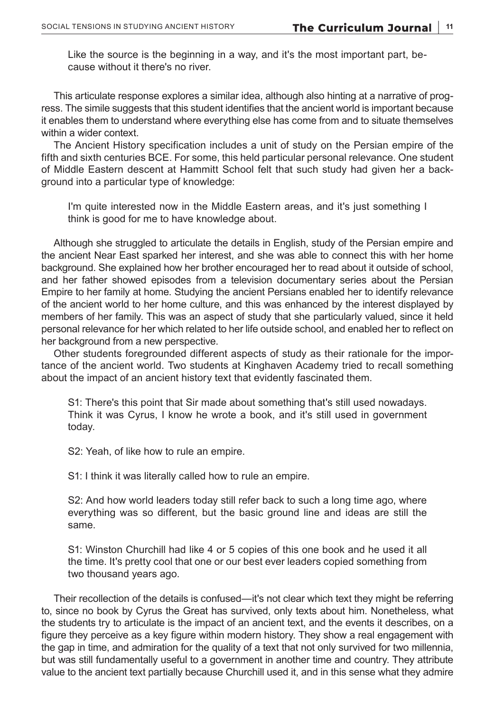Like the source is the beginning in a way, and it's the most important part, because without it there's no river.

This articulate response explores a similar idea, although also hinting at a narrative of progress. The simile suggests that this student identifies that the ancient world is important because it enables them to understand where everything else has come from and to situate themselves within a wider context.

The Ancient History specification includes a unit of study on the Persian empire of the fifth and sixth centuries BCE. For some, this held particular personal relevance. One student of Middle Eastern descent at Hammitt School felt that such study had given her a background into a particular type of knowledge:

I'm quite interested now in the Middle Eastern areas, and it's just something I think is good for me to have knowledge about.

Although she struggled to articulate the details in English, study of the Persian empire and the ancient Near East sparked her interest, and she was able to connect this with her home background. She explained how her brother encouraged her to read about it outside of school, and her father showed episodes from a television documentary series about the Persian Empire to her family at home. Studying the ancient Persians enabled her to identify relevance of the ancient world to her home culture, and this was enhanced by the interest displayed by members of her family. This was an aspect of study that she particularly valued, since it held personal relevance for her which related to her life outside school, and enabled her to reflect on her background from a new perspective.

Other students foregrounded different aspects of study as their rationale for the importance of the ancient world. Two students at Kinghaven Academy tried to recall something about the impact of an ancient history text that evidently fascinated them.

S1: There's this point that Sir made about something that's still used nowadays. Think it was Cyrus, I know he wrote a book, and it's still used in government today.

S2: Yeah, of like how to rule an empire.

S1: I think it was literally called how to rule an empire.

S2: And how world leaders today still refer back to such a long time ago, where everything was so different, but the basic ground line and ideas are still the same.

S1: Winston Churchill had like 4 or 5 copies of this one book and he used it all the time. It's pretty cool that one or our best ever leaders copied something from two thousand years ago.

Their recollection of the details is confused—it's not clear which text they might be referring to, since no book by Cyrus the Great has survived, only texts about him. Nonetheless, what the students try to articulate is the impact of an ancient text, and the events it describes, on a figure they perceive as a key figure within modern history. They show a real engagement with the gap in time, and admiration for the quality of a text that not only survived for two millennia, but was still fundamentally useful to a government in another time and country. They attribute value to the ancient text partially because Churchill used it, and in this sense what they admire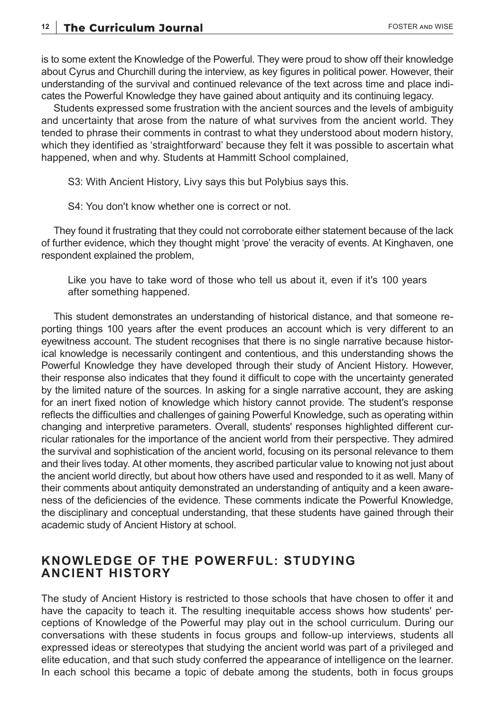is to some extent the Knowledge of the Powerful. They were proud to show off their knowledge about Cyrus and Churchill during the interview, as key figures in political power. However, their understanding of the survival and continued relevance of the text across time and place indicates the Powerful Knowledge they have gained about antiquity and its continuing legacy.

Students expressed some frustration with the ancient sources and the levels of ambiguity and uncertainty that arose from the nature of what survives from the ancient world. They tended to phrase their comments in contrast to what they understood about modern history, which they identified as 'straightforward' because they felt it was possible to ascertain what happened, when and why. Students at Hammitt School complained,

S3: With Ancient History, Livy says this but Polybius says this.

S4: You don't know whether one is correct or not.

They found it frustrating that they could not corroborate either statement because of the lack of further evidence, which they thought might 'prove' the veracity of events. At Kinghaven, one respondent explained the problem,

Like you have to take word of those who tell us about it, even if it's 100 years after something happened.

This student demonstrates an understanding of historical distance, and that someone reporting things 100 years after the event produces an account which is very different to an eyewitness account. The student recognises that there is no single narrative because historical knowledge is necessarily contingent and contentious, and this understanding shows the Powerful Knowledge they have developed through their study of Ancient History. However, their response also indicates that they found it difficult to cope with the uncertainty generated by the limited nature of the sources. In asking for a single narrative account, they are asking for an inert fixed notion of knowledge which history cannot provide. The student's response reflects the difficulties and challenges of gaining Powerful Knowledge, such as operating within changing and interpretive parameters. Overall, students' responses highlighted different curricular rationales for the importance of the ancient world from their perspective. They admired the survival and sophistication of the ancient world, focusing on its personal relevance to them and their lives today. At other moments, they ascribed particular value to knowing not just about the ancient world directly, but about how others have used and responded to it as well. Many of their comments about antiquity demonstrated an understanding of antiquity and a keen awareness of the deficiencies of the evidence. These comments indicate the Powerful Knowledge, the disciplinary and conceptual understanding, that these students have gained through their academic study of Ancient History at school.

### **KNOWLEDGE OF THE POWERFUL: STUDYING ANCIENT HISTORY**

The study of Ancient History is restricted to those schools that have chosen to offer it and have the capacity to teach it. The resulting inequitable access shows how students' perceptions of Knowledge of the Powerful may play out in the school curriculum. During our conversations with these students in focus groups and follow-up interviews, students all expressed ideas or stereotypes that studying the ancient world was part of a privileged and elite education, and that such study conferred the appearance of intelligence on the learner. In each school this became a topic of debate among the students, both in focus groups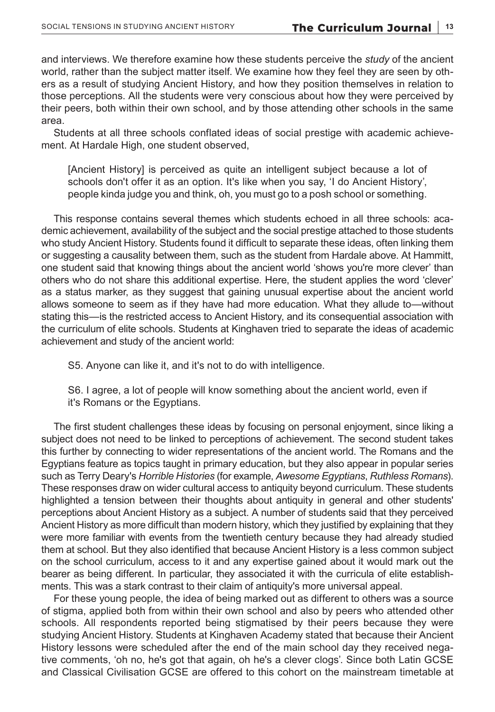and interviews. We therefore examine how these students perceive the *study* of the ancient world, rather than the subject matter itself. We examine how they feel they are seen by others as a result of studying Ancient History, and how they position themselves in relation to those perceptions. All the students were very conscious about how they were perceived by their peers, both within their own school, and by those attending other schools in the same area.

Students at all three schools conflated ideas of social prestige with academic achievement. At Hardale High, one student observed,

[Ancient History] is perceived as quite an intelligent subject because a lot of schools don't offer it as an option. It's like when you say, 'I do Ancient History', people kinda judge you and think, oh, you must go to a posh school or something.

This response contains several themes which students echoed in all three schools: academic achievement, availability of the subject and the social prestige attached to those students who study Ancient History. Students found it difficult to separate these ideas, often linking them or suggesting a causality between them, such as the student from Hardale above. At Hammitt, one student said that knowing things about the ancient world 'shows you're more clever' than others who do not share this additional expertise. Here, the student applies the word 'clever' as a status marker, as they suggest that gaining unusual expertise about the ancient world allows someone to seem as if they have had more education. What they allude to—without stating this—is the restricted access to Ancient History, and its consequential association with the curriculum of elite schools. Students at Kinghaven tried to separate the ideas of academic achievement and study of the ancient world:

S5. Anyone can like it, and it's not to do with intelligence.

S6. I agree, a lot of people will know something about the ancient world, even if it's Romans or the Egyptians.

The first student challenges these ideas by focusing on personal enjoyment, since liking a subject does not need to be linked to perceptions of achievement. The second student takes this further by connecting to wider representations of the ancient world. The Romans and the Egyptians feature as topics taught in primary education, but they also appear in popular series such as Terry Deary's *Horrible Histories* (for example, *Awesome Egyptians*, *Ruthless Romans*). These responses draw on wider cultural access to antiquity beyond curriculum. These students highlighted a tension between their thoughts about antiquity in general and other students' perceptions about Ancient History as a subject. A number of students said that they perceived Ancient History as more difficult than modern history, which they justified by explaining that they were more familiar with events from the twentieth century because they had already studied them at school. But they also identified that because Ancient History is a less common subject on the school curriculum, access to it and any expertise gained about it would mark out the bearer as being different. In particular, they associated it with the curricula of elite establishments. This was a stark contrast to their claim of antiquity's more universal appeal.

For these young people, the idea of being marked out as different to others was a source of stigma, applied both from within their own school and also by peers who attended other schools. All respondents reported being stigmatised by their peers because they were studying Ancient History. Students at Kinghaven Academy stated that because their Ancient History lessons were scheduled after the end of the main school day they received negative comments, 'oh no, he's got that again, oh he's a clever clogs'. Since both Latin GCSE and Classical Civilisation GCSE are offered to this cohort on the mainstream timetable at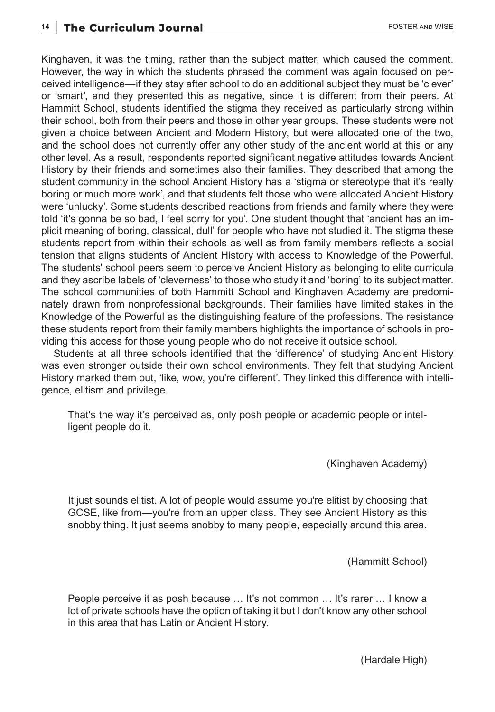Kinghaven, it was the timing, rather than the subject matter, which caused the comment. However, the way in which the students phrased the comment was again focused on perceived intelligence—if they stay after school to do an additional subject they must be 'clever' or 'smart', and they presented this as negative, since it is different from their peers. At Hammitt School, students identified the stigma they received as particularly strong within their school, both from their peers and those in other year groups. These students were not given a choice between Ancient and Modern History, but were allocated one of the two, and the school does not currently offer any other study of the ancient world at this or any other level. As a result, respondents reported significant negative attitudes towards Ancient History by their friends and sometimes also their families. They described that among the student community in the school Ancient History has a 'stigma or stereotype that it's really boring or much more work', and that students felt those who were allocated Ancient History were 'unlucky'. Some students described reactions from friends and family where they were told 'it's gonna be so bad, I feel sorry for you'. One student thought that 'ancient has an implicit meaning of boring, classical, dull' for people who have not studied it. The stigma these students report from within their schools as well as from family members reflects a social tension that aligns students of Ancient History with access to Knowledge of the Powerful. The students' school peers seem to perceive Ancient History as belonging to elite curricula and they ascribe labels of 'cleverness' to those who study it and 'boring' to its subject matter. The school communities of both Hammitt School and Kinghaven Academy are predominately drawn from nonprofessional backgrounds. Their families have limited stakes in the Knowledge of the Powerful as the distinguishing feature of the professions. The resistance these students report from their family members highlights the importance of schools in providing this access for those young people who do not receive it outside school.

Students at all three schools identified that the 'difference' of studying Ancient History was even stronger outside their own school environments. They felt that studying Ancient History marked them out, 'like, wow, you're different'. They linked this difference with intelligence, elitism and privilege.

That's the way it's perceived as, only posh people or academic people or intelligent people do it.

(Kinghaven Academy)

It just sounds elitist. A lot of people would assume you're elitist by choosing that GCSE, like from—you're from an upper class. They see Ancient History as this snobby thing. It just seems snobby to many people, especially around this area.

(Hammitt School)

People perceive it as posh because … It's not common … It's rarer … I know a lot of private schools have the option of taking it but I don't know any other school in this area that has Latin or Ancient History.

(Hardale High)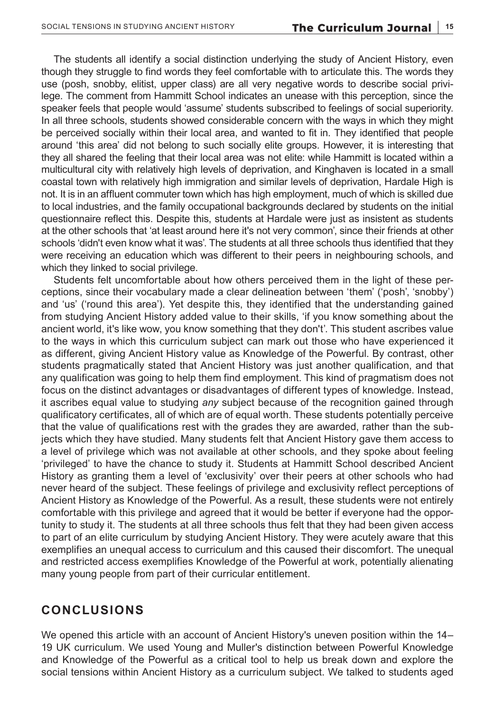The students all identify a social distinction underlying the study of Ancient History, even though they struggle to find words they feel comfortable with to articulate this. The words they use (posh, snobby, elitist, upper class) are all very negative words to describe social privilege. The comment from Hammitt School indicates an unease with this perception, since the speaker feels that people would 'assume' students subscribed to feelings of social superiority. In all three schools, students showed considerable concern with the ways in which they might be perceived socially within their local area, and wanted to fit in. They identified that people around 'this area' did not belong to such socially elite groups. However, it is interesting that they all shared the feeling that their local area was not elite: while Hammitt is located within a multicultural city with relatively high levels of deprivation, and Kinghaven is located in a small coastal town with relatively high immigration and similar levels of deprivation, Hardale High is not. It is in an affluent commuter town which has high employment, much of which is skilled due to local industries, and the family occupational backgrounds declared by students on the initial questionnaire reflect this. Despite this, students at Hardale were just as insistent as students at the other schools that 'at least around here it's not very common', since their friends at other schools 'didn't even know what it was'. The students at all three schools thus identified that they were receiving an education which was different to their peers in neighbouring schools, and which they linked to social privilege.

Students felt uncomfortable about how others perceived them in the light of these perceptions, since their vocabulary made a clear delineation between 'them' ('posh', 'snobby') and 'us' ('round this area'). Yet despite this, they identified that the understanding gained from studying Ancient History added value to their skills, 'if you know something about the ancient world, it's like wow, you know something that they don't'. This student ascribes value to the ways in which this curriculum subject can mark out those who have experienced it as different, giving Ancient History value as Knowledge of the Powerful. By contrast, other students pragmatically stated that Ancient History was just another qualification, and that any qualification was going to help them find employment. This kind of pragmatism does not focus on the distinct advantages or disadvantages of different types of knowledge. Instead, it ascribes equal value to studying *any* subject because of the recognition gained through qualificatory certificates, all of which are of equal worth. These students potentially perceive that the value of qualifications rest with the grades they are awarded, rather than the subjects which they have studied. Many students felt that Ancient History gave them access to a level of privilege which was not available at other schools, and they spoke about feeling 'privileged' to have the chance to study it. Students at Hammitt School described Ancient History as granting them a level of 'exclusivity' over their peers at other schools who had never heard of the subject. These feelings of privilege and exclusivity reflect perceptions of Ancient History as Knowledge of the Powerful. As a result, these students were not entirely comfortable with this privilege and agreed that it would be better if everyone had the opportunity to study it. The students at all three schools thus felt that they had been given access to part of an elite curriculum by studying Ancient History. They were acutely aware that this exemplifies an unequal access to curriculum and this caused their discomfort. The unequal and restricted access exemplifies Knowledge of the Powerful at work, potentially alienating many young people from part of their curricular entitlement.

#### **CONCLUSIONS**

We opened this article with an account of Ancient History's uneven position within the 14– 19 UK curriculum. We used Young and Muller's distinction between Powerful Knowledge and Knowledge of the Powerful as a critical tool to help us break down and explore the social tensions within Ancient History as a curriculum subject. We talked to students aged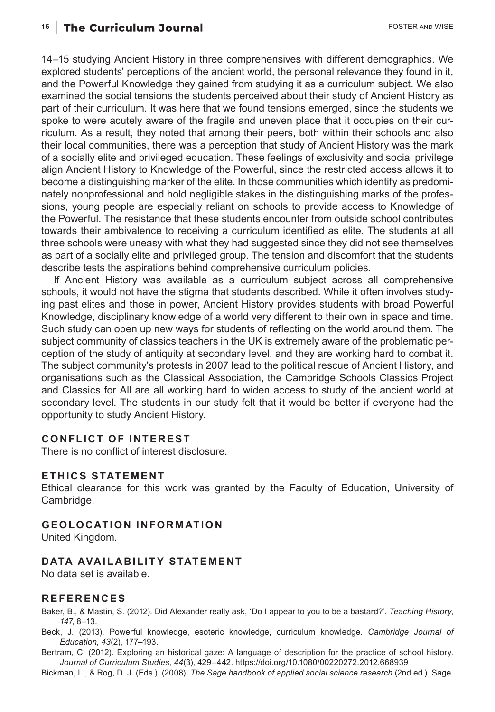14–15 studying Ancient History in three comprehensives with different demographics. We explored students' perceptions of the ancient world, the personal relevance they found in it, and the Powerful Knowledge they gained from studying it as a curriculum subject. We also examined the social tensions the students perceived about their study of Ancient History as part of their curriculum. It was here that we found tensions emerged, since the students we spoke to were acutely aware of the fragile and uneven place that it occupies on their curriculum. As a result, they noted that among their peers, both within their schools and also their local communities, there was a perception that study of Ancient History was the mark of a socially elite and privileged education. These feelings of exclusivity and social privilege align Ancient History to Knowledge of the Powerful, since the restricted access allows it to become a distinguishing marker of the elite. In those communities which identify as predominately nonprofessional and hold negligible stakes in the distinguishing marks of the professions, young people are especially reliant on schools to provide access to Knowledge of the Powerful. The resistance that these students encounter from outside school contributes towards their ambivalence to receiving a curriculum identified as elite. The students at all three schools were uneasy with what they had suggested since they did not see themselves as part of a socially elite and privileged group. The tension and discomfort that the students describe tests the aspirations behind comprehensive curriculum policies.

If Ancient History was available as a curriculum subject across all comprehensive schools, it would not have the stigma that students described. While it often involves studying past elites and those in power, Ancient History provides students with broad Powerful Knowledge, disciplinary knowledge of a world very different to their own in space and time. Such study can open up new ways for students of reflecting on the world around them. The subject community of classics teachers in the UK is extremely aware of the problematic perception of the study of antiquity at secondary level, and they are working hard to combat it. The subject community's protests in 2007 lead to the political rescue of Ancient History, and organisations such as the Classical Association, the Cambridge Schools Classics Project and Classics for All are all working hard to widen access to study of the ancient world at secondary level. The students in our study felt that it would be better if everyone had the opportunity to study Ancient History.

#### **CONFLICT OF INTEREST**

There is no conflict of interest disclosure.

#### **ETHICS STATEMENT**

Ethical clearance for this work was granted by the Faculty of Education, University of Cambridge.

#### **GEOLOCATION INFORMATION**

United Kingdom.

#### **DATA AVAILABILITY STATEMENT**

No data set is available.

#### **REFERENCES**

Baker, B., & Mastin, S. (2012). Did Alexander really ask, 'Do I appear to you to be a bastard?'. *Teaching History*, *147*, 8–13.

Beck, J. (2013). Powerful knowledge, esoteric knowledge, curriculum knowledge. *Cambridge Journal of Education*, *43*(2), 177–193.

Bertram, C. (2012). Exploring an historical gaze: A language of description for the practice of school history. *Journal of Curriculum Studies*, *44*(3), 429–442. <https://doi.org/10.1080/00220272.2012.668939>

Bickman, L., & Rog, D. J. (Eds.). (2008). *The Sage handbook of applied social science research* (2nd ed.). Sage.